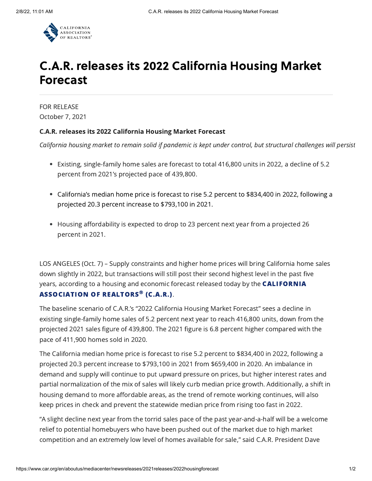

## C.A.R. releases its 2022 California Housing Market Forecast

FOR RELEASE October 7, 2021

## C.A.R. releases its 2022 California Housing Market Forecast

California housing market to remain solid if pandemic is kept under control, but structural challenges will persist

- Existing, single-family home sales are forecast to total 416,800 units in 2022, a decline of 5.2 percent from 2021's projected pace of 439,800.
- California's median home price is forecast to rise 5.2 percent to \$834,400 in 2022, following a projected 20.3 percent increase to \$793,100 in 2021.
- Housing affordability is expected to drop to 23 percent next year from a projected 26 percent in 2021.

LOS ANGELES (Oct. 7) – Supply constraints and higher home prices will bring California home sales down slightly in 2022, but transactions will still post their second highest level in the past five [years, according to a housing and economic forecast released today by the](http://www.car.org/) <code>CALIFORNIA</code> ASSOCIATION OF REALTORS $^\circledR$  (C.A.R.).

The baseline scenario of C.A.R.'s "2022 California Housing Market Forecast" sees a decline in existing single-family home sales of 5.2 percent next year to reach 416,800 units, down from the projected 2021 sales figure of 439,800. The 2021 figure is 6.8 percent higher compared with the pace of 411,900 homes sold in 2020.

The California median home price is forecast to rise 5.2 percent to \$834,400 in 2022, following a projected 20.3 percent increase to \$793,100 in 2021 from \$659,400 in 2020. An imbalance in demand and supply will continue to put upward pressure on prices, but higher interest rates and partial normalization of the mix of sales will likely curb median price growth. Additionally, a shift in housing demand to more affordable areas, as the trend of remote working continues, will also keep prices in check and prevent the statewide median price from rising too fast in 2022.

"A slight decline next year from the torrid sales pace of the past year-and-a-half will be a welcome relief to potential homebuyers who have been pushed out of the market due to high market competition and an extremely low level of homes available for sale," said C.A.R. President Dave